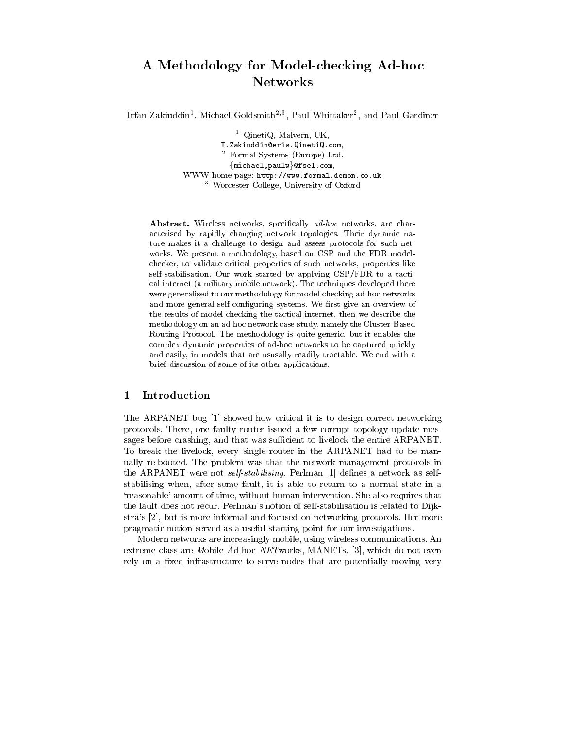# A Methodology for Model-checking Ad-hoc **Networks**

Irfan Zakiuddin1 , Michael Goldsmith2;3 , Paul Whittaker2 , and Paul Gardiner

<sup>1</sup> QinetiQ, Malvern, UK, I.Zakiuddin@eris.QinetiQ.com, <sup>2</sup> Formal Systems (Europe) Ltd.  $\{m$ ichael, paulw $\}$ @fsel.com, WWW home page: http://www.formal.demon.co.uk <sup>3</sup> Worcester College, University of Oxford

Abstract. Wireless networks, specifically *ad-hoc* networks, are characterised by rapidly changing network topologies. Their dynamic na ture makes it a challenge to design and assess protocols for such net works. We present a methodology, based on CSP and the FDR model checker, to validate critical properties of such networks, properties like self-stabilisation. Our work started by applying CSP/FDR to a tactical internet (a military mobile network). The techniques developed there were generalised to our methodology for model-checking ad-hoc networks and more general self-configuring systems. We first give an overview of the results of model-checking the tactical internet, then we describe the methodology on an ad-hoc network case study, namely the Cluster-Based Routing Protocol. The methodology is quite generic, but it enables the complex dynamic properties of ad-hoc networks to be captured quickly and easily, in models that are ususally readily tractable. We end with a brief discussion of some of its other applications.

#### 1 Introduction

The ARPANET bug [1] showed how critical it is to design correct networking protocols. There, one faulty router issued a few corrupt topology update messages before crashing, and that was sufficient to livelock the entire ARPANET. To break the livelock, every single router in the ARPANET had to be manually re-booted. The problem was that the network management protocols in the ARPANET were not *self-stabilising*. Perlman [1] defines a network as selfstabilising when, after some fault, it is able to return to a normal state in a `reasonable' amount of time, without human intervention. She also requires that the fault does not recur. Perlman's notion of self-stabilisation is related to Dijkstra's [2], but is more informal and focused on networking protocols. Her more pragmatic notion served as a useful starting point for our investigations.

Modern networks are increasingly mobile, using wireless communications. An extreme class are Mobile Ad-hoc NETworks, MANETs, [3], which do not even rely on a fixed infrastructure to serve nodes that are potentially moving very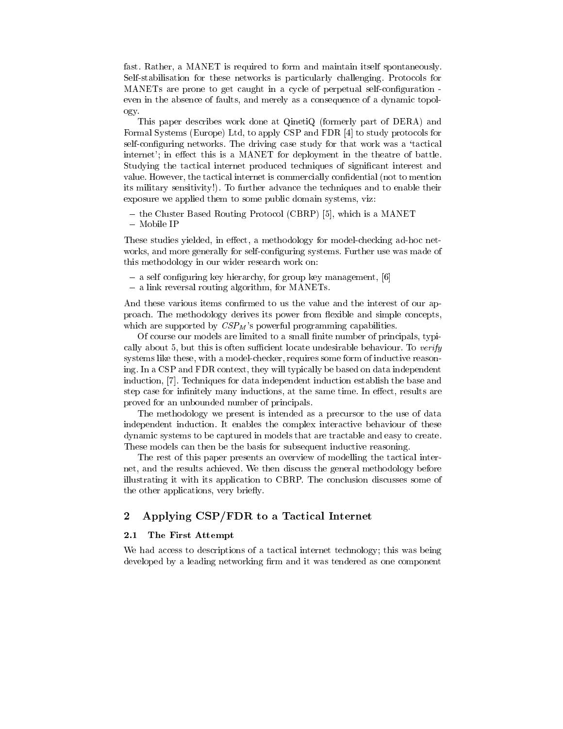fast. Rather, a MANET is required to form and maintain itself spontaneously. Self-stabilisation for these networks is particularly challenging. Protocols for MANETs are prone to get caught in a cycle of perpetual self-configuration even in the absence of faults, and merely as a consequence of a dynamic topol-

ogy.<br>This paper describes work done at QinetiQ (formerly part of DERA) and Formal Systems (Europe) Ltd, to apply CSP and FDR [4] to study protocols for self-configuring networks. The driving case study for that work was a 'tactical internet'; in effect this is a MANET for deployment in the theatre of battle. Studying the tactical internet produced techniques of significant interest and value. However, the tactical internet is commercially condential (not to mention its military sensitivity!). To further advance the techniques and to enable their exposure we applied them to some public domain systems, viz:

{ the Cluster Based Routing Protocol (CBRP) [5], which is a MANET

- Mobile IP

These studies yielded, in effect, a methodology for model-checking ad-hoc networks, and more generally for self-configuring systems. Further use was made of this methodology in our wider research work on:

- $-$  a self configuring key hierarchy, for group key management, [6]
- { a link reversal routing algorithm, for MANETs.

And these various items confirmed to us the value and the interest of our approach. The methodology derives its power from flexible and simple concepts, which are supported by  $CSP_M$ 's powerful programming capabilities.

Of course our models are limited to a small finite number of principals, typically about 5, but this is often sufficient locate undesirable behaviour. To verify systems like these, with a model-checker, requires some form of inductive reasoning. In a CSP and FDR context, they will typically be based on data independent induction, [7]. Techniques for data independent induction establish the base and step case for infinitely many inductions, at the same time. In effect, results are proved for an unbounded number of principals.

The methodology we present is intended as a precursor to the use of data independent induction. It enables the complex interactive behaviour of these dynamic systems to be captured in models that are tractable and easy to create. These models can then be the basis for subsequent inductive reasoning.

The rest of this paper presents an overview of modelling the tactical internet, and the results achieved. We then discuss the general methodology before illustrating it with its application to CBRP. The conclusion discusses some of the other applications, very briefly.

## 2 Applying CSP/FDR to a Tactical Internet

#### 2.1 The First Attempt

We had access to descriptions of a tactical internet technology; this was being developed by a leading networking firm and it was tendered as one component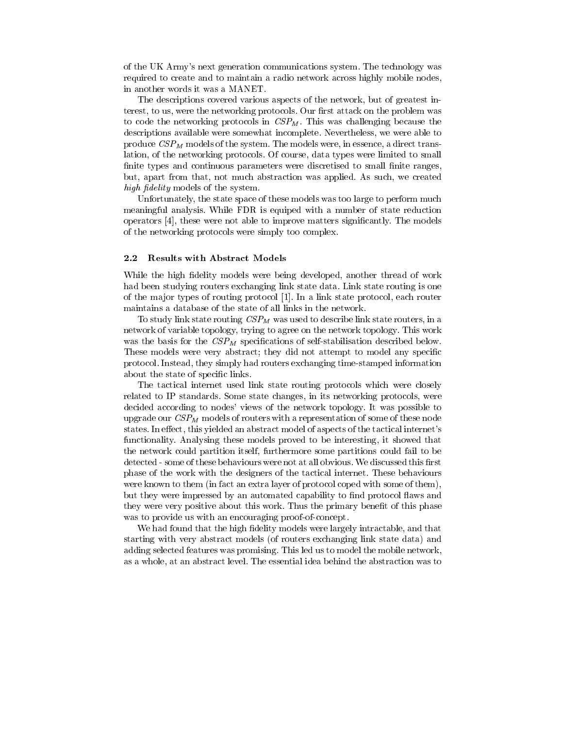of the UK Army's next generation communications system. The technology was required to create and to maintain a radio network across highly mobile nodes, in another words it was a MANET.

The descriptions covered various aspects of the network, but of greatest interest, to us, were the networking protocols. Our first attack on the problem was to code the networking protocols in  $CSP_M$ . This was challenging because the descriptions available were somewhat incomplete. Nevertheless, we were able to produce  $CSP_M$  models of the system. The models were, in essence, a direct translation, of the networking protocols. Of course, data types were limited to small finite types and continuous parameters were discretised to small finite ranges, but, apart from that, not much abstraction was applied. As such, we created high fidelity models of the system.

Unfortunately, the state space of these models was too large to perform much meaningful analysis. While FDR is equiped with a number of state reduction operators [4], these were not able to improve matters signicantly. The models of the networking protocols were simply too complex.

#### 2.2 Results with Abstract Models

While the high fidelity models were being developed, another thread of work had been studying routers exchanging link state data. Link state routing is one of the ma jor types of routing protocol [1]. In a link state protocol, each router maintains a database of the state of all links in the network.

To study link state routing  $CSP_M$  was used to describe link state routers, in a network of variable topology, trying to agree on the network topology. This work was the basis for the  $CSP_M$  specifications of self-stabilisation described below. These models were very abstract; they did not attempt to model any specific protocol. Instead, they simply had routers exchanging time-stamped information about the state of specific links.

The tactical internet used link state routing protocols which were closely related to IP standards. Some state changes, in its networking protocols, were decided according to nodes' views of the network topology. It was possible to upgrade our  $CSP_M$  models of routers with a representation of some of these node states. In effect, this yielded an abstract model of aspects of the tactical internet's functionality. Analysing these models proved to be interesting, it showed that the network could partition itself, furthermore some partitions could fail to be detected - some of these behaviours were not at all obvious. We discussed this first phase of the work with the designers of the tactical internet. These behaviours were known to them (in fact an extra layer of protocol coped with some of them), but they were impressed by an automated capability to find protocol flaws and they were very positive about this work. Thus the primary benefit of this phase was to provide us with an encouraging proof-of-concept.

We had found that the high fidelity models were largely intractable, and that starting with very abstract models (of routers exchanging link state data) and adding selected features was promising. This led us to model the mobile network, as a whole, at an abstract level. The essential idea behind the abstraction was to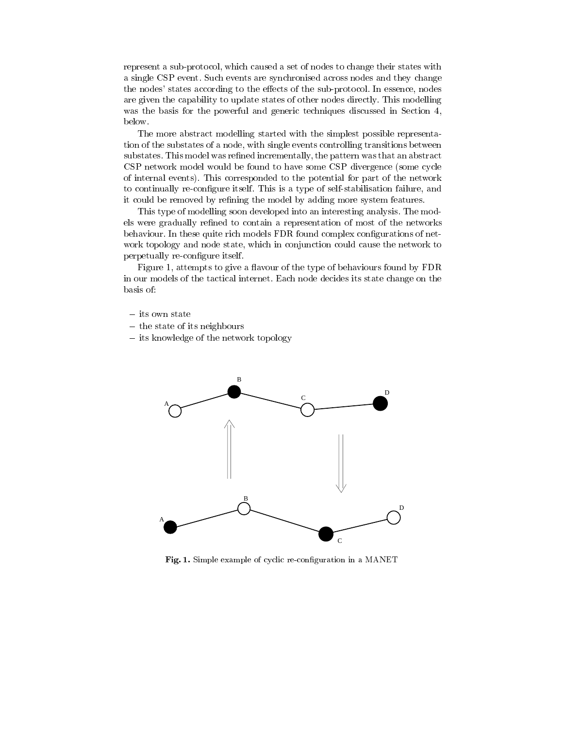represent a sub-protocol, which caused a set of nodes to change their states with a single CSP event. Such events are synchronised across nodes and they change the nodes' states according to the effects of the sub-protocol. In essence, nodes are given the capability to update states of other nodes directly. This modelling was the basis for the powerful and generic techniques discussed in Section 4, below.

The more abstract modelling started with the simplest possible representation of the substates of a node, with single events controlling transitions between substates. This model was refined incrementally, the pattern was that an abstract CSP network model would be found to have some CSP divergence (some cycle of internal events). This corresponded to the potential for part of the network to continually re-congure itself. This is a type of self-stabilisation failure, and it could be removed by refining the model by adding more system features.

This type of modelling soon developed into an interesting analysis. The models were gradually refined to contain a representation of most of the networks behaviour. In these quite rich models FDR found complex congurations of net work topology and node state, which in conjunction could cause the network to perpetually re-configure itself.

Figure 1, attempts to give a flavour of the type of behaviours found by FDR in our models of the tactical internet. Each node decides its state change on the basis of:

- { its own state
- { the state of its neighbours
- its knowledge of the network topology



Fig. 1. Simple example of cyclic re-conguration in a MANET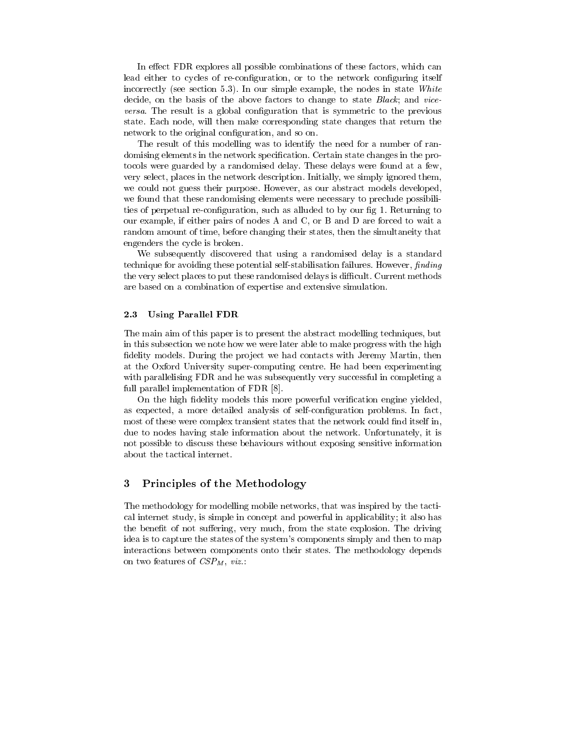In effect FDR explores all possible combinations of these factors, which can lead either to cycles of re-configuration, or to the network configuring itself incorrectly (see section 5.3). In our simple example, the nodes in state White decide, on the basis of the above factors to change to state Black; and viceversa. The result is a global configuration that is symmetric to the previous state. Each node, will then make corresponding state changes that return the network to the original configuration, and so on.

The result of this modelling was to identify the need for a number of randomising elements in the network specication. Certain state changes in the protocols were guarded by a randomised delay. These delays were found at a few, very select, places in the network description. Initially, we simply ignored them, we could not guess their purpose. However, as our abstract models developed, we found that these randomising elements were necessary to preclude possibilities of perpetual re-configuration, such as alluded to by our fig 1. Returning to our example, if either pairs of nodes A and C, or B and D are forced to wait a random amount of time, before changing their states, then the simultaneity that engenders the cycle is broken.

We subsequently discovered that using a randomised delay is a standard technique for avoiding these potential self-stabilisation failures. However, *finding* the very select places to put these randomised delays is difficult. Current methods are based on a combination of expertise and extensive simulation.

#### 2.3 Using Parallel FDR

The main aim of this paper is to present the abstract modelling techniques, but in this subsection we note how we were later able to make progress with the high fidelity models. During the project we had contacts with Jeremy Martin, then at the Oxford University super-computing centre. He had been experimenting with parallelising FDR and he was subsequently very successful in completing a full parallel implementation of FDR [8].

On the high fidelity models this more powerful verification engine yielded, as expected, a more detailed analysis of self-configuration problems. In fact, most of these were complex transient states that the network could find itself in, due to nodes having stale information about the network. Unfortunately, it is not possible to discuss these behaviours without exposing sensitive information about the tactical internet.

## 3 Principles of the Methodology

The methodology for modelling mobile networks, that was inspired by the tactical internet study, is simple in concept and powerful in applicability; it also has the benefit of not suffering, very much, from the state explosion. The driving idea is to capture the states of the system's components simply and then to map interactions between components onto their states. The methodology depends on two features of  $CSP_M$ , viz.: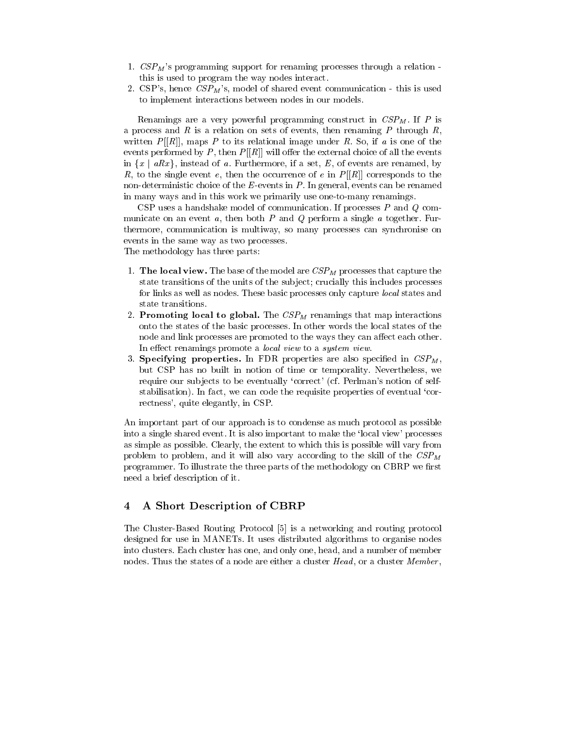- 1.  $CSP_M$ 's programming support for renaming processes through a relation this is used to program the way nodes interact.
- 2. CSP's, hence  $CSP_M$ 's, model of shared event communication this is used to implement interactions between nodes in our models.

Renamings are a very powerful programming construct in  $CSP_M$ . If P is a process and R is a relation on sets of events, then renaming P through  $R$ , written  $P[[R]]$ , maps P to its relational image under R. So, if a is one of the events performed by P, then  $P[[R]]$  will offer the external choice of all the events in  $\{x \mid aRx\}$ , instead of a. Furthermore, if a set, E, of events are renamed, by R, to the single event e, then the occurrence of e in  $P[[R]]$  corresponds to the non-deterministic choice of the  $E$ -events in  $P$ . In general, events can be renamed in many ways and in this work we primarily use one-to-many renamings.

CSP uses a handshake model of communication. If processes  $P$  and  $Q$  communicate on an event  $a$ , then both  $P$  and  $Q$  perform a single  $a$  together. Furthermore, communication is multiway, so many processes can synchronise on events in the same way as two processes.

The methodology has three parts:

- 1. The local view. The base of the model are  $CSP_M$  processes that capture the state transitions of the units of the sub ject; crucially this includes processes for links as well as nodes. These basic processes only capture local states and state transitions.
- 2. Promoting local to global. The  $CSP_M$  renamings that map interactions onto the states of the basic processes. In other words the local states of the node and link processes are promoted to the ways they can affect each other. In effect renamings promote a local view to a system view.
- 3. Specifying properties. In FDR properties are also specified in  $CSP<sub>M</sub>$ , but CSP has no built in notion of time or temporality. Nevertheless, we require our subjects to be eventually 'correct' (cf. Perlman's notion of selfstabilisation). In fact, we can code the requisite properties of eventual `correctness', quite elegantly, in CSP.

An important part of our approach is to condense as much protocol as possible into a single shared event. It is also important to make the 'local view' processes as simple as possible. Clearly, the extent to which this is possible will vary from problem to problem, and it will also vary according to the skill of the  $CSP_M$ programmer. To illustrate the three parts of the methodology on CBRP we first need a brief description of it.

#### $\overline{4}$ 4 A Short Description of CBRP

The Cluster-Based Routing Protocol [5] is a networking and routing protocol designed for use in MANETs. It uses distributed algorithms to organise nodes into clusters. Each cluster has one, and only one, head, and a number of member nodes. Thus the states of a node are either a cluster Head, or a cluster Member,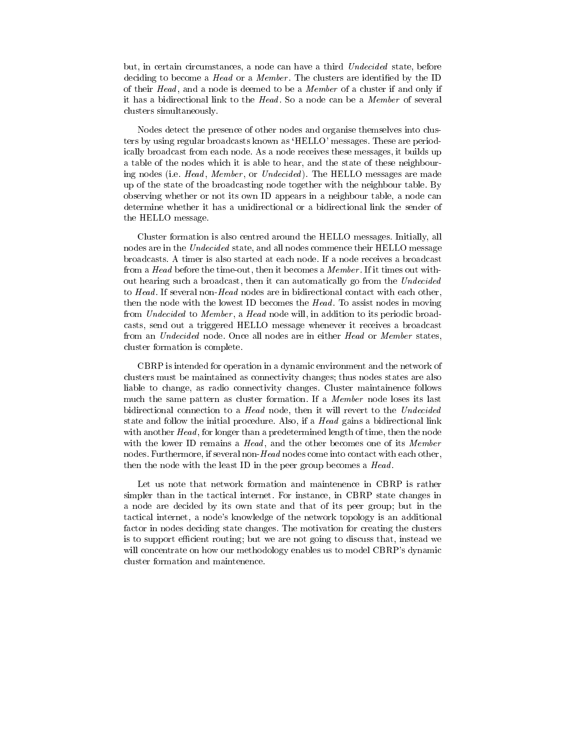but, in certain circumstances, a node can have a third Undecided state, before deciding to become a *Head* or a *Member*. The clusters are identified by the ID of their Head, and a node is deemed to be a *Member* of a cluster if and only if it has a bidirectional link to the Head. So a node can be a Member of several clusters simultaneously.

Nodes detect the presence of other nodes and organise themselves into clusters by using regular broadcasts known as 'HELLO' messages. These are periodically broadcast from each node. As a node receives these messages, it builds up a table of the nodes which it is able to hear, and the state of these neighbouring nodes (i.e. Head, Member, or Undecided). The HELLO messages are made up of the state of the broadcasting node together with the neighbour table. By observing whether or not its own ID appears in a neighbour table, a node can determine whether it has a unidirectional or a bidirectional link the sender of the HELLO message.

Cluster formation is also centred around the HELLO messages. Initially, all nodes are in the Undecided state, and all nodes commence their HELLO message broadcasts. A timer is also started at each node. If a node receives a broadcast from a Head before the time-out, then it becomes a Member. If it times out without hearing such a broadcast, then it can automatically go from the Undecided to Head. If several non-Head nodes are in bidirectional contact with each other, then the node with the lowest ID becomes the Head. To assist nodes in moving from Undecided to Member, a Head node will, in addition to its periodic broadcasts, send out a triggered HELLO message whenever it receives a broadcast from an Undecided node. Once all nodes are in either Head or Member states, cluster formation is complete.

CBRP is intended for operation in a dynamic environment and the network of clusters must be maintained as connectivity changes; thus nodes states are also liable to change, as radio connectivity changes. Cluster maintainence follows much the same pattern as cluster formation. If a Member node loses its last bidirectional connection to a Head node, then it will revert to the Undecided state and follow the initial procedure. Also, if a Head gains a bidirectional link with another Head, for longer than a predetermined length of time, then the node with the lower ID remains a *Head*, and the other becomes one of its *Member* nodes. Furthermore, if several non-Head nodes come into contact with each other, then the node with the least ID in the peer group becomes a  $Head$ .

Let us note that network formation and maintenence in CBRP is rather simpler than in the tactical internet. For instance, in CBRP state changes in a node are decided by its own state and that of its peer group; but in the tactical internet, a node's knowledge of the network topology is an additional factor in nodes deciding state changes. The motivation for creating the clusters is to support efficient routing; but we are not going to discuss that, instead we will concentrate on how our methodology enables us to model CBRP's dynamic cluster formation and maintenence.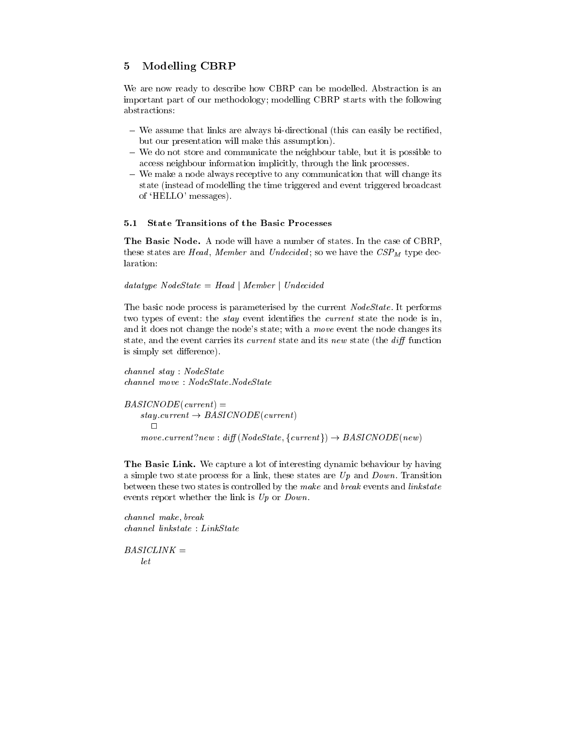## 5 Modelling CBRP

We are now ready to describe how CBRP can be modelled. Abstraction is an important part of our methodology; modelling CBRP starts with the following abstractions:

- We assume that links are always bi-directional (this can easily be rectified, but our presentation will make this assumption).
- { We do not store and communicate the neighbour table, but it is possible to access neighbour information implicitly, through the link processes.
- ${\rm -}$  We make a node always receptive to any communication that will change its state (instead of modelling the time triggered and event triggered broadcast of `HELLO' messages).

#### 5.1 State Transitions of the Basic Processes

The Basic Node. A node will have a number of states. In the case of CBRP, these states are Head, Member and Undecided; so we have the  $CSP_M$  type declaration:

 $datatype\ NodeState = Head \mid Member \mid Undecided$ 

The basic node process is parameterised by the current *NodeState*. It performs two types of event: the *stay* event identifies the *current* state the node is in, and it does not change the node's state; with a move event the node changes its state, and the event carries its *current* state and its *new* state (the *diff* function is simply set difference).

```
channel stay : NodeState
BASICNODE (current) =
    stay current \rightarrow BASICNODE (current)\Boxmove. current? new : diff(NodeState, \{current\}) \rightarrow BASICNODE(new)
```
The Basic Link. We capture a lot of interesting dynamic behaviour by having a simple two state process for a link, these states are  $Up$  and  $Down$ . Transition between these two states is controlled by the make and break events and linkstate events report whether the link is  $Up$  or  $Down$ .

channel make; break channel linkstate : LinkState

 $BASICLINK =$ let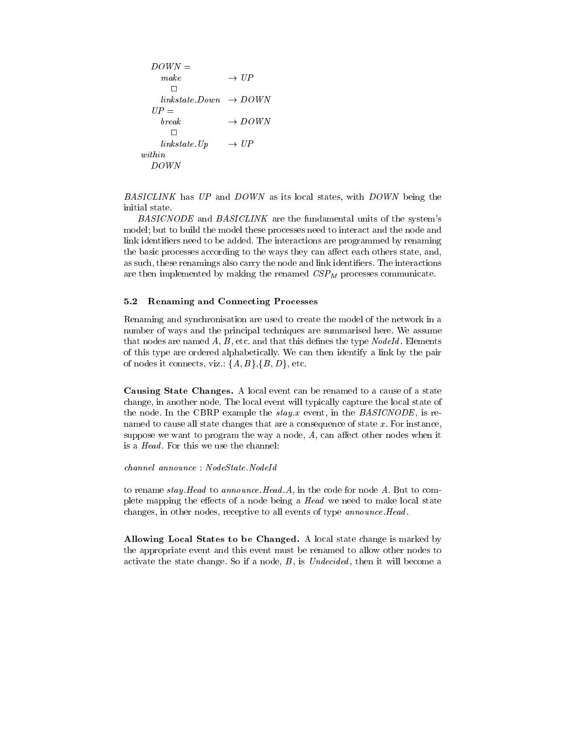```
DOWN =make \rightarrow UP\Boxlink state. Down \rightarrow DOMNUP =break \rightarrow DOWN\Boxlinkstate. Up \longrightarrow UPwithin
```
BASICLINK has UP and DOWN as its local states, with DOWN being the initial state.

BASICNODE and BASICLINK are the fundamental units of the system's model; but to build the model these processes need to interact and the node and link identifiers need to be added. The interactions are programmed by renaming the basic processes according to the ways they can affect each others state, and, as such, these renamings also carry the node and link identifiers. The interactions are then implemented by making the renamed  $CSP_M$  processes communicate.

#### 5.2 Renaming and Connecting Processes

Renaming and synchronisation are used to create the model of the network in a number of ways and the principal techniques are summarised here. We assume that nodes are named  $A, B$ , etc. and that this defines the type  $Nodeld$ . Elements of this type are ordered alphabetically. We can then identify a link by the pair of nodes it connects, viz.:  $\{A, B\}, \{B, D\}$ , etc.

Causing State Changes. A local event can be renamed to a cause of a state change, in another node. The local event will typically capture the local state of the node. In the CBRP example the  $stay.x$  event, in the  $BASICNODE$ , is renamed to cause all state changes that are a consequence of state  $x$ . For instance, suppose we want to program the way a node,  $A$ , can affect other nodes when it is a  $Head$ . For this we use the channel:

channel announce : NodeState:NodeId

to rename stay. Head to announce. Head  $A$ , in the code for node  $A$ . But to complete mapping the effects of a node being a Head we need to make local state changes, in other nodes, receptive to all events of type *announce.Head*.

Allowing Local States to be Changed. A local state change is marked by the appropriate event and this event must be renamed to allow other nodes to activate the state change. So if a node,  $B$ , is Undecided, then it will become a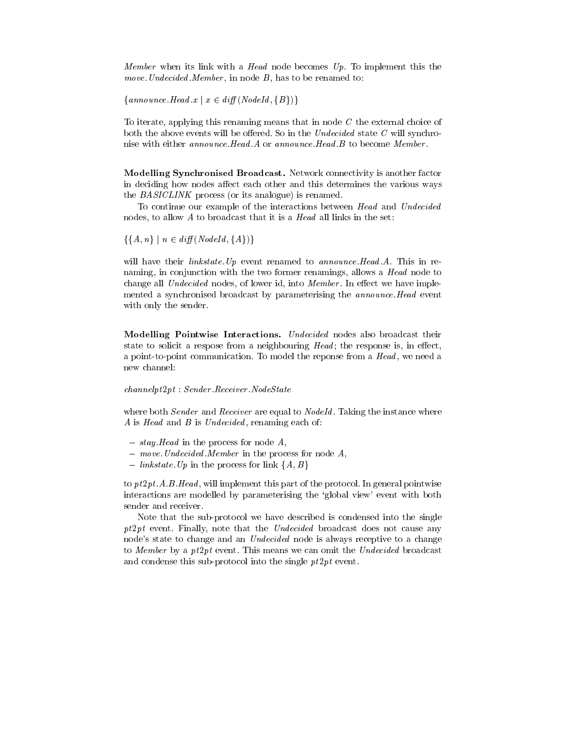Member when its link with a Head node becomes  $Up$ . To implement this the move. Undecided Member, in node  $B$ , has to be renamed to:

 $\{announce. Head \, x \mid x \in \textit{diff} (NodeId, \{B\})\}$ 

To iterate, applying this renaming means that in node  $C$  the external choice of both the above events will be offered. So in the Undecided state C will synchronise with either *announce.Head, A* or *announce.Head.B* to become *Member*.

Modelling Synchronised Broadcast. Network connectivity is another factor in deciding how nodes affect each other and this determines the various ways the BASICLINK process (or its analogue) is renamed.

To continue our example of the interactions between Head and Undecided nodes, to allow  $A$  to broadcast that it is a  $Head$  all links in the set:

 $\{\{A, n\} \mid n \in \text{diff}(NodeId, \{A\})\}$ 

will have their *linkstate. Up* event renamed to *announce. Head .A.* This in renaming, in conjunction with the two former renamings, allows a Head node to change all *Undecided* nodes, of lower id, into *Member*. In effect we have implemented a synchronised broadcast by parameterising the *announce. Head* event with only the sender.

Modelling Pointwise Interactions. Undecided nodes also broadcast their state to solicit a respose from a neighbouring  $Head$ ; the response is, in effect, a point-to-point communication. To model the reponse from a Head, we need a

 $\it channelpt2pt :Sender\;Receiver.NodeState$ 

where both *Sender* and *Receiver* are equal to *NodeId*. Taking the instance where A is Head and B is Undecided, renaming each of:

- $=$  stay Head in the process for node A,
- $-$  move. Undecided Member in the process for node  $A$ ,
- ${-}$  linkstate. Up in the process for link  ${A, B}$

to  $pt2pt.A.B.Head$ , will implement this part of the protocol. In general pointwise interactions are modelled by parameterising the `global view' event with both sender and receiver.

Note that the sub-protocol we have described is condensed into the single  $pt2pt$  event. Finally, note that the Undecided broadcast does not cause any node's state to change and an Undecided node is always receptive to a change to Member by a pt 2pt event. This means we can omit the Undecided broadcast and condense this sub-protocol into the single  $pt2pt$  event.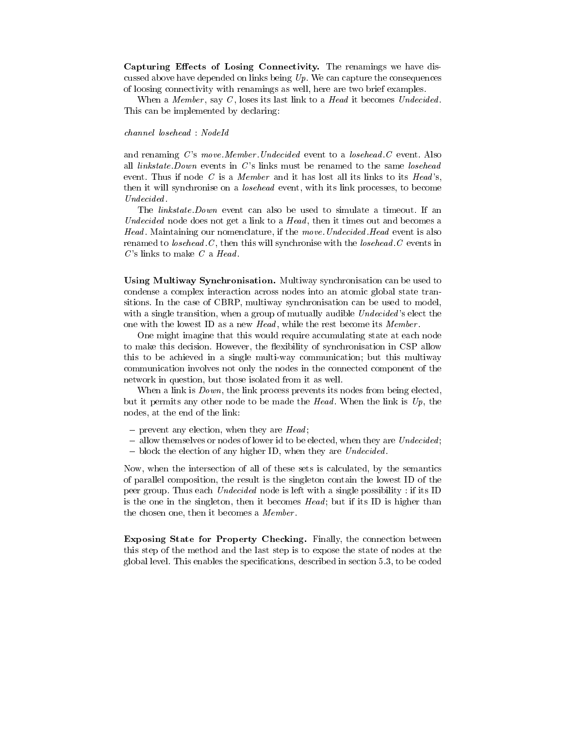Capturing Effects of Losing Connectivity. The renamings we have discussed above have depended on links being  $Up$ . We can capture the consequences of loosing connectivity with renamings as well, here are two brief examples.

When a *Member*, say  $C$ , loses its last link to a *Head* it becomes *Undecided*. This can be implemented by declaring:

#### channel losehead : NodeId

and renaming C's move. Member. Undecided event to a losehead. C event. Also all  $linkstate. Down$  events in  $C$ 's links must be renamed to the same losehead event. Thus if node C is a *Member* and it has lost all its links to its  $Head's$ , then it will synchronise on a *losehead* event, with its link processes, to become Undecided .

The *linkstate. Down* event can also be used to simulate a timeout. If an Undecided node does not get a link to a  $Head$ , then it times out and becomes a Head. Maintaining our nomenclature, if the move. Undecided Head event is also renamed to *losehead*  $C$ , then this will synchronise with the *losehead*  $C$  events in  $C$ 's links to make  $C$  a Head.

Using Multiway Synchronisation. Multiway synchronisation can be used to condense a complex interaction across nodes into an atomic global state transitions. In the case of CBRP, multiway synchronisation can be used to model, with a single transition, when a group of mutually audible  $Undecided$ 's elect the one with the lowest ID as a new Head, while the rest become its Member.

One might imagine that this would require accumulating state at each node to make this decision. However, the flexibility of synchronisation in CSP allow this to be achieved in a single multi-way communication; but this multiway communication involves not only the nodes in the connected component of the network in question, but those isolated from it as well.

When a link is *Down*, the link process prevents its nodes from being elected, but it permits any other node to be made the Head. When the link is  $Up$ , the nodes, at the end of the link:

- $=$  prevent any election, when they are Head;
- ${\bf -}$  allow themselves or nodes of lower id to be elected, when they are Undecided;
- ${\bf -}$  block the election of any higher ID, when they are Undecided.

Now, when the intersection of all of these sets is calculated, by the semantics of parallel composition, the result is the singleton contain the lowest ID of the peer group. Thus each Undecided node is left with a single possibility : if its ID is the one in the singleton, then it becomes  $Head$ ; but if its ID is higher than the chosen one, then it becomes a Member .

Exposing State for Property Checking. Finally, the connection between this step of the method and the last step is to expose the state of nodes at the global level. This enables the specifications, described in section 5.3, to be coded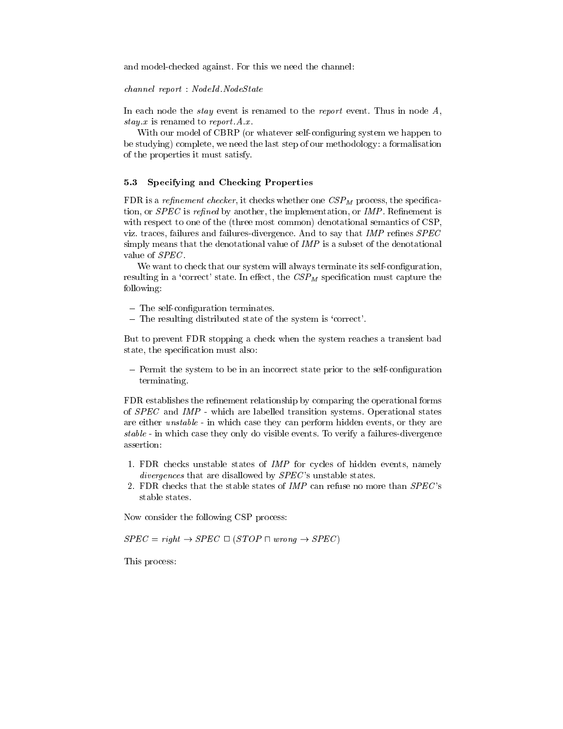and model-checked against. For this we need the channel:

channel report : NodeId :NodeState

In each node the *stay* event is renamed to the *report* event. Thus in node  $A$ , stay  $x$  is renamed to report  $A.x$ .

With our model of CBRP (or whatever self-configuring system we happen to be studying) complete, we need the last step of our methodology: a formalisation of the properties it must satisfy.

#### 5.3 Specifying and Checking Properties

FDR is a refinement checker, it checks whether one  $CSP_M$  process, the specification, or  $SPEC$  is refined by another, the implementation, or IMP. Refinement is with respect to one of the (three most common) denotational semantics of CSP, viz. traces, failures and failures-divergence. And to say that  $IMP$  refines  $SPEC$ simply means that the denotational value of  $IMP$  is a subset of the denotational value of SPEC.

We want to check that our system will always terminate its self-configuration, resulting in a 'correct' state. In effect, the  $CSP_M$  specification must capture the following:

- The self-configuration terminates.
- The resulting distributed state of the system is 'correct'.

But to prevent FDR stopping a check when the system reaches a transient bad state, the specification must also:

- Permit the system to be in an incorrect state prior to the self-configuration terminating.

FDR establishes the refinement relationship by comparing the operational forms of SPEC and IMP - which are labelled transition systems. Operational states are either unstable - in which case they can perform hidden events, or they are stable - in which case they only do visible events. To verify a failures-divergence assertion:

- 1. FDR checks unstable states of IMP for cycles of hidden events, namely divergences that are disallowed by SPEC's unstable states.
- 2. FDR checks that the stable states of  $IMP$  can refuse no more than  $SPEC$ 's stable states.

Now consider the following CSP process:

 $SPEC = right \rightarrow SPEC \sqcup (STOP \sqcap wrong \rightarrow SPEC)$ 

This process: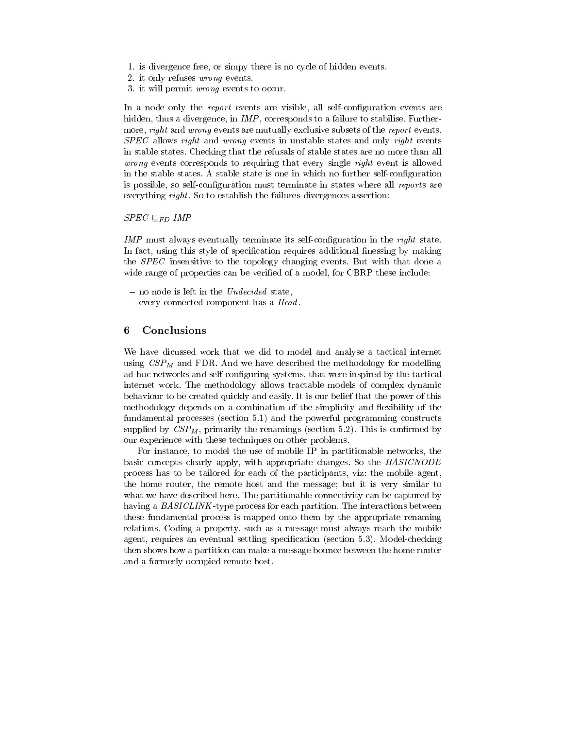- 1. is divergence free, or simpy there is no cycle of hidden events.
- 2. it only refuses wrong events.
- 3. it will permit wrong events to occur.

In a node only the *report* events are visible, all self-configuration events are hidden, thus a divergence, in  $IMP$ , corresponds to a failure to stabilise. Furthermore, *right* and *wrong* events are mutually exclusive subsets of the *report* events. SPEC allows right and wrong events in unstable states and only right events in stable states. Checking that the refusals of stable states are no more than all wrong events corresponds to requiring that every single right event is allowed in the stable states. A stable state is one in which no further self-conguration is possible, so self-configuration must terminate in states where all reports are everything *right*. So to establish the failures-divergences assertion:

 $SPEC \sqsubseteq_{FD} IMP$ 

IMP must always eventually terminate its self-configuration in the *right* state. In fact, using this style of specification requires additional finessing by making the *SPEC* insensitive to the topology changing events. But with that done a wide range of properties can be verified of a model, for CBRP these include:

- $-$  no node is left in the Undecided state,
- $=$  every connected component has a Head.

We have dicussed work that we did to model and analyse a tactical internet using  $CSP_M$  and FDR. And we have described the methodology for modelling ad-hoc networks and self-configuring systems, that were inspired by the tactical internet work. The methodology allows tractable models of complex dynamic behaviour to be created quickly and easily. It is our belief that the power of this methodology depends on a combination of the simplicity and flexibility of the fundamental processes (section 5.1) and the powerful programming constructs supplied by  $CSP_M$ , primarily the renamings (section 5.2). This is confirmed by our experience with these techniques on other problems.

For instance, to model the use of mobile IP in partitionable networks, the basic concepts clearly apply, with appropriate changes. So the BASICNODE process has to be tailored for each of the participants, viz: the mobile agent, the home router, the remote host and the message; but it is very similar to what we have described here. The partitionable connectivity can be captured by having a BASICLINK-type process for each partition. The interactions between these fundamental process is mapped onto them by the appropriate renaming relations. Coding a property, such as a message must always reach the mobile agent, requires an eventual settling specification (section 5.3). Model-checking then shows how a partition can make a message bounce between the home router and a formerly occupied remote host.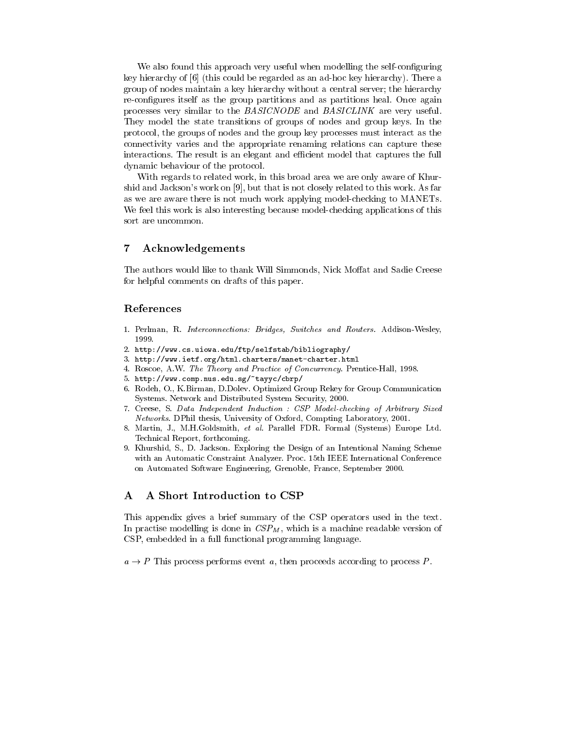We also found this approach very useful when modelling the self-configuring key hierarchy of [6] (this could be regarded as an ad-hoc key hierarchy). There a group of nodes maintain a key hierarchy without a central server; the hierarchy re-configures itself as the group partitions and as partitions heal. Once again processes very similar to the BASICNODE and BASICLINK are very useful. They model the state transitions of groups of nodes and group keys. In the protocol, the groups of nodes and the group key processes must interact as the connectivity varies and the appropriate renaming relations can capture these interactions. The result is an elegant and efficient model that captures the full dynamic behaviour of the protocol.

With regards to related work, in this broad area we are only aware of Khurshid and Jackson's work on [9], but that is not closely related to this work. As far as we are aware there is not much work applying model-checking to MANETs. We feel this work is also interesting because model-checking applications of this sort are uncommon.

#### $\overline{7}$ Acknowledgements

The authors would like to thank Will Simmonds, Nick Moffat and Sadie Creese for helpful comments on drafts of this paper.

### References

- 1. Perlman, R. Interconnections: Bridges, Switches and Routers. Addison-Wesley, 1999.
- 2. http://www.cs.uiowa.edu/ftp/selfstab/bibliography/
- 3. http://www.ietf.org/html.charters/manet-charter.html
- 4. Roscoe, A.W. The Theory and Practice of Concurrency. Prentice-Hall, 1998.
- 5. http://www.comp.nus.edu.sg/~tayyc/cbrp/
- 6. Rodeh, O., K.Birman, D.Dolev. Optimized Group Rekey for Group Communication Systems. Network and Distributed System Security, 2000.
- 7. Creese, S. Data Independent Induction : CSP Model-checking of Arbitrary Sized Networks. DPhil thesis, University of Oxford, Compting Laboratory, 2001.
- 8. Martin, J., M.H.Goldsmith, et al. Parallel FDR. Formal (Systems) Europe Ltd. Technical Report, forthcoming.
- 9. Khurshid, S., D. Jackson. Exploring the Design of an Intentional Naming Scheme with an Automatic Constraint Analyzer. Proc. 15th IEEE International Conference on Automated Software Engineering, Grenoble, France, September 2000.

#### $\mathbf{A}$ A A Short Introduction to CSP

This appendix gives a brief summary of the CSP operators used in the text. In practise modelling is done in  $CSP_M$ , which is a machine readable version of CSP, embedded in a full functional programming language.

 $a \rightarrow P$  This process performs event a, then proceeds according to process P.